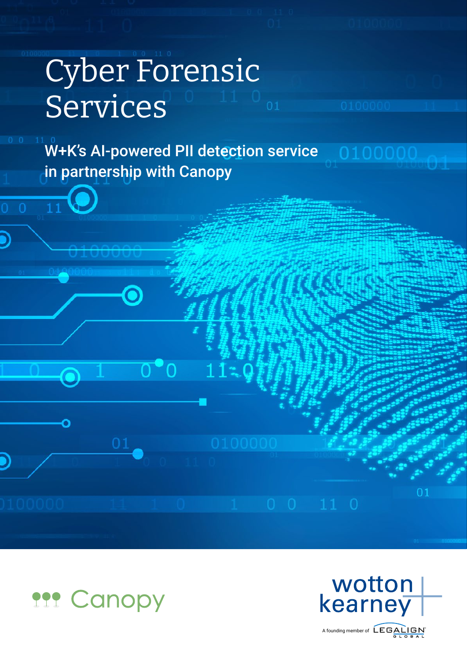# Cyber Forensic Services

 $\overline{0}^\bullet 0$ 

 $11:0$ 

 $\overline{11}$ 

 $\overline{0}$ 

W+K's AI-powered PII detection service in partnership with Canopy





01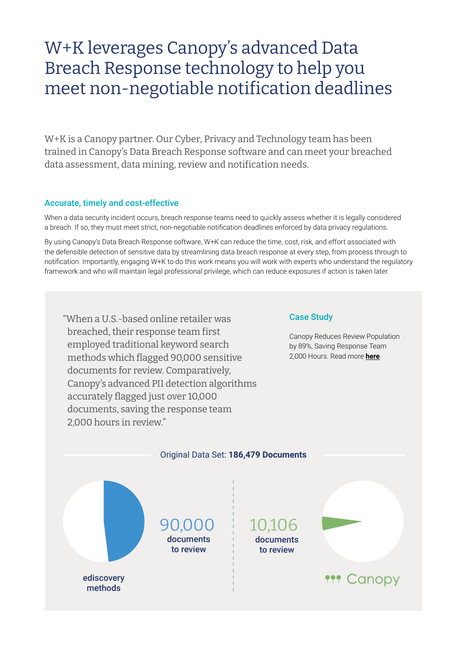### W+K leverages Canopy's advanced Data Breach Response technology to help you meet non-negotiable notification deadlines

W+K is a Canopy partner. Our Cyber, Privacy and Technology team has been trained in Canopy's Data Breach Response software and can meet your breached data assessment, data mining, review and notification needs.

#### Accurate, timely and cost-effective

When a data security incident occurs, breach response teams need to quickly assess whether it is legally considered a breach. If so, they must meet strict, non-negotiable notification deadlines enforced by data privacy regulations.

By using Canopy's Data Breach Response software, W+K can reduce the time, cost, risk, and effort associated with the defensible detection of sensitive data by streamlining data breach response at every step, from process through to notification. Importantly, engaging W+K to do this work means you will work with experts who understand the regulatory framework and who will maintain legal professional privilege, which can reduce exposures if action is taken later.

"When a U.S.-based online retailer was breached, their response team first employed traditional keyword search methods which flagged 90,000 sensitive documents for review. Comparatively, Canopy's advanced PII detection algorithms accurately flagged just over 10,000 documents, saving the response team 2,000 hours in review."

#### Case Study

Canopy Reduces Review Population by 89%, Saving Response Team 2,000 Hours. Read more **[here](https://hubs.la/H0ZCzXy0)**.

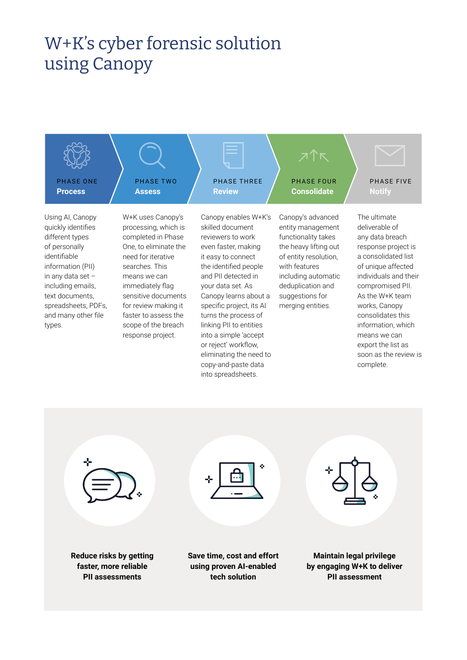## W+K's cyber forensic solution using Canopy